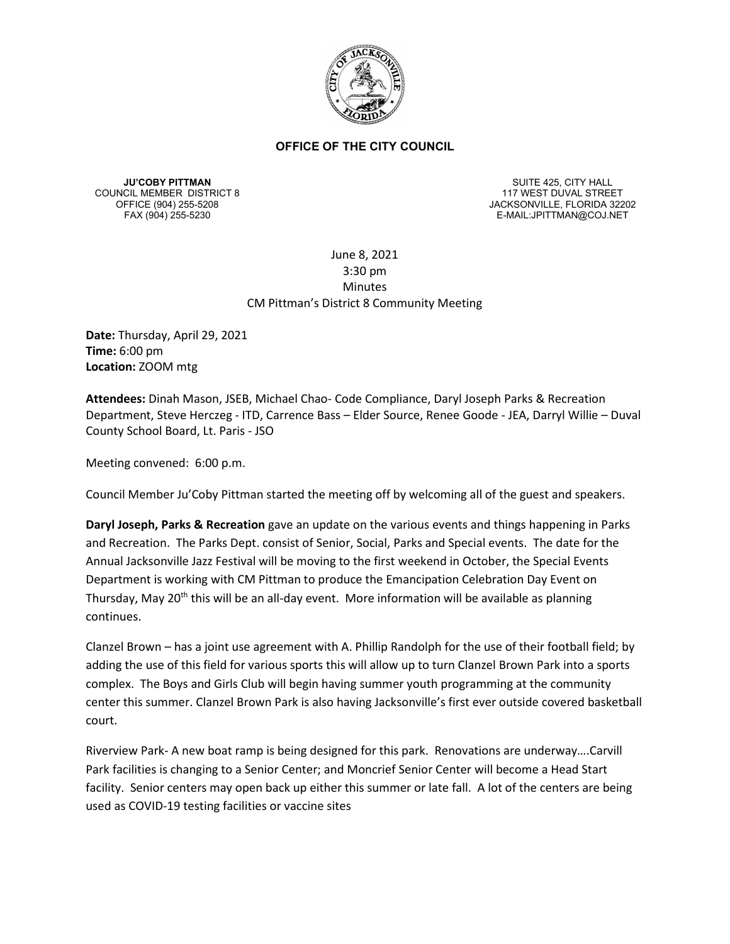

**JU'COBY PITTMAN** COUNCIL MEMBER DISTRICT 8

SUITE 425, CITY HALL 117 WEST DUVAL STREET OFFICE (904) 255-5208 JACKSONVILLE, FLORIDA 32202 E-MAIL:JPITTMAN@COJ.NET

# June 8, 2021 3:30 pm Minutes CM Pittman's District 8 Community Meeting

**Date:** Thursday, April 29, 2021 **Time:** 6:00 pm **Location:** ZOOM mtg

**Attendees:** Dinah Mason, JSEB, Michael Chao- Code Compliance, Daryl Joseph Parks & Recreation Department, Steve Herczeg - ITD, Carrence Bass – Elder Source, Renee Goode - JEA, Darryl Willie – Duval County School Board, Lt. Paris - JSO

Meeting convened: 6:00 p.m.

Council Member Ju'Coby Pittman started the meeting off by welcoming all of the guest and speakers.

**Daryl Joseph, Parks & Recreation** gave an update on the various events and things happening in Parks and Recreation. The Parks Dept. consist of Senior, Social, Parks and Special events. The date for the Annual Jacksonville Jazz Festival will be moving to the first weekend in October, the Special Events Department is working with CM Pittman to produce the Emancipation Celebration Day Event on Thursday, May 20<sup>th</sup> this will be an all-day event. More information will be available as planning continues.

Clanzel Brown – has a joint use agreement with A. Phillip Randolph for the use of their football field; by adding the use of this field for various sports this will allow up to turn Clanzel Brown Park into a sports complex. The Boys and Girls Club will begin having summer youth programming at the community center this summer. Clanzel Brown Park is also having Jacksonville's first ever outside covered basketball court.

Riverview Park- A new boat ramp is being designed for this park. Renovations are underway….Carvill Park facilities is changing to a Senior Center; and Moncrief Senior Center will become a Head Start facility. Senior centers may open back up either this summer or late fall. A lot of the centers are being used as COVID-19 testing facilities or vaccine sites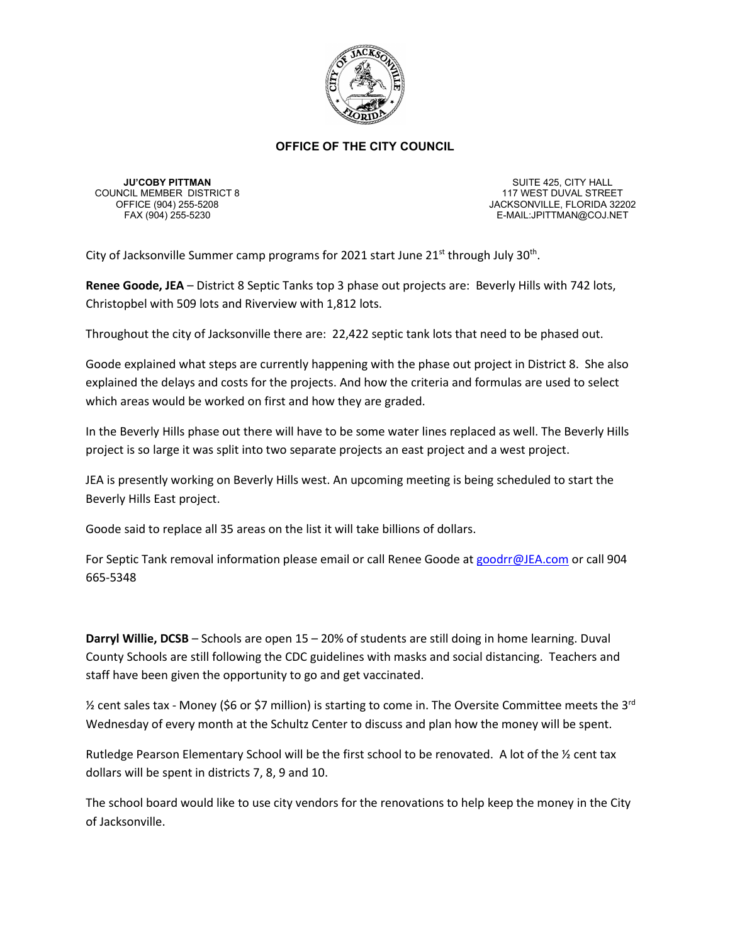

**JU'COBY PITTMAN** COUNCIL MEMBER DISTRICT 8

SUITE 425, CITY HALL 117 WEST DUVAL STREET OFFICE (904) 255-5208 JACKSONVILLE, FLORIDA 32202 E-MAIL:JPITTMAN@COJ.NET

City of Jacksonville Summer camp programs for 2021 start June  $21^{st}$  through July 30<sup>th</sup>.

**Renee Goode, JEA** – District 8 Septic Tanks top 3 phase out projects are: Beverly Hills with 742 lots, Christopbel with 509 lots and Riverview with 1,812 lots.

Throughout the city of Jacksonville there are: 22,422 septic tank lots that need to be phased out.

Goode explained what steps are currently happening with the phase out project in District 8. She also explained the delays and costs for the projects. And how the criteria and formulas are used to select which areas would be worked on first and how they are graded.

In the Beverly Hills phase out there will have to be some water lines replaced as well. The Beverly Hills project is so large it was split into two separate projects an east project and a west project.

JEA is presently working on Beverly Hills west. An upcoming meeting is being scheduled to start the Beverly Hills East project.

Goode said to replace all 35 areas on the list it will take billions of dollars.

For Septic Tank removal information please email or call Renee Goode at [goodrr@JEA.com](mailto:goodrr@JEA.com) or call 904 665-5348

**Darryl Willie, DCSB** – Schools are open 15 – 20% of students are still doing in home learning. Duval County Schools are still following the CDC guidelines with masks and social distancing. Teachers and staff have been given the opportunity to go and get vaccinated.

 $\frac{1}{2}$  cent sales tax - Money (\$6 or \$7 million) is starting to come in. The Oversite Committee meets the 3<sup>rd</sup> Wednesday of every month at the Schultz Center to discuss and plan how the money will be spent.

Rutledge Pearson Elementary School will be the first school to be renovated. A lot of the ½ cent tax dollars will be spent in districts 7, 8, 9 and 10.

The school board would like to use city vendors for the renovations to help keep the money in the City of Jacksonville.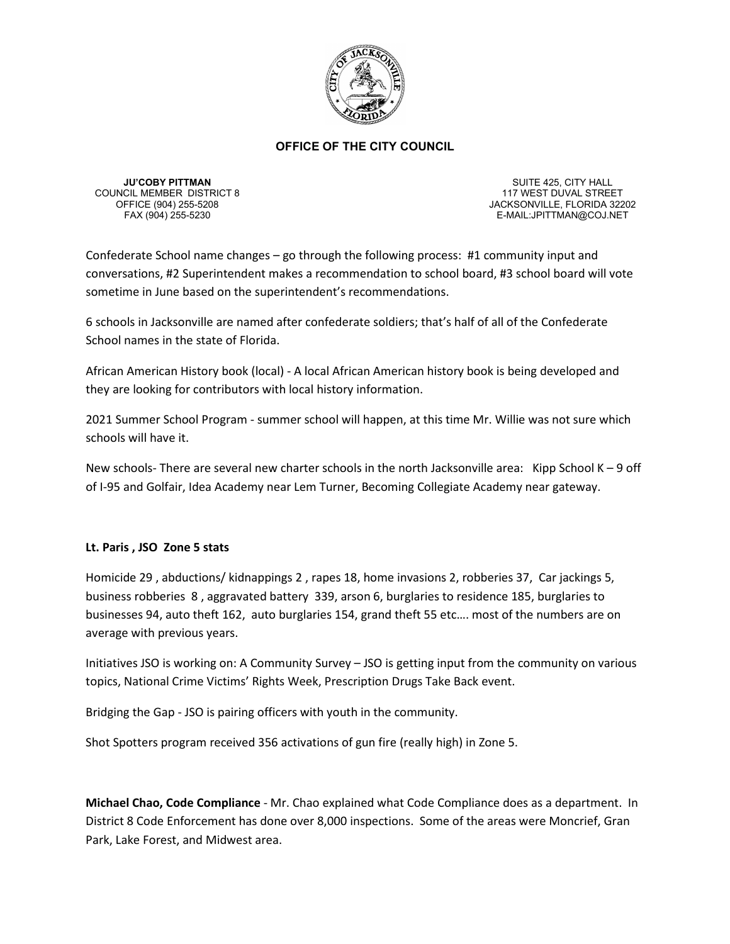

**JU'COBY PITTMAN** COUNCIL MEMBER DISTRICT 8

SUITE 425, CITY HALL 117 WEST DUVAL STREET OFFICE (904) 255-5208 JACKSONVILLE, FLORIDA 32202<br>FAX (904) 255-5230 FAX (904) 255-5230 E-MAIL:JPITTMAN@COJ.NET

Confederate School name changes – go through the following process: #1 community input and conversations, #2 Superintendent makes a recommendation to school board, #3 school board will vote sometime in June based on the superintendent's recommendations.

6 schools in Jacksonville are named after confederate soldiers; that's half of all of the Confederate School names in the state of Florida.

African American History book (local) - A local African American history book is being developed and they are looking for contributors with local history information.

2021 Summer School Program - summer school will happen, at this time Mr. Willie was not sure which schools will have it.

New schools- There are several new charter schools in the north Jacksonville area: Kipp School K – 9 off of I-95 and Golfair, Idea Academy near Lem Turner, Becoming Collegiate Academy near gateway.

# **Lt. Paris , JSO Zone 5 stats**

Homicide 29 , abductions/ kidnappings 2 , rapes 18, home invasions 2, robberies 37, Car jackings 5, business robberies 8 , aggravated battery 339, arson 6, burglaries to residence 185, burglaries to businesses 94, auto theft 162, auto burglaries 154, grand theft 55 etc…. most of the numbers are on average with previous years.

Initiatives JSO is working on: A Community Survey – JSO is getting input from the community on various topics, National Crime Victims' Rights Week, Prescription Drugs Take Back event.

Bridging the Gap - JSO is pairing officers with youth in the community.

Shot Spotters program received 356 activations of gun fire (really high) in Zone 5.

**Michael Chao, Code Compliance** - Mr. Chao explained what Code Compliance does as a department. In District 8 Code Enforcement has done over 8,000 inspections. Some of the areas were Moncrief, Gran Park, Lake Forest, and Midwest area.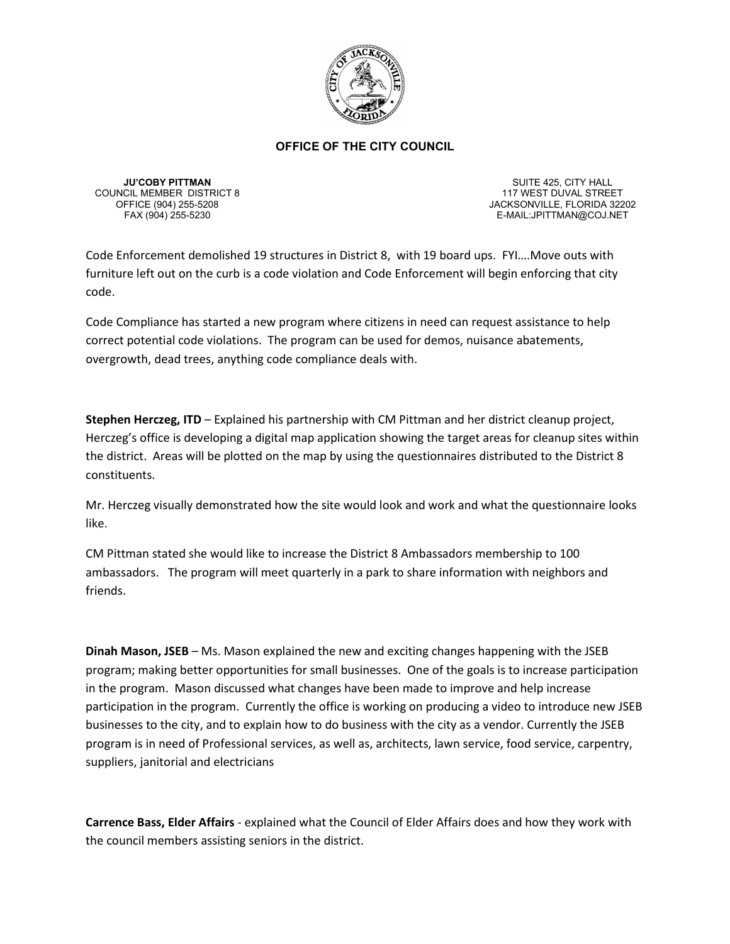

**JU'COBY PITTMAN** COUNCIL MEMBER DISTRICT 8

SUITE 425, CITY HALL 117 WEST DUVAL STREET OFFICE (904) 255-5208 JACKSONVILLE, FLORIDA 32202<br>FAX (904) 255-5230 FAX (904) 255-5230 E-MAIL:JPITTMAN@COJ.NET

Code Enforcement demolished 19 structures in District 8, with 19 board ups. FYI….Move outs with furniture left out on the curb is a code violation and Code Enforcement will begin enforcing that city code.

Code Compliance has started a new program where citizens in need can request assistance to help correct potential code violations. The program can be used for demos, nuisance abatements, overgrowth, dead trees, anything code compliance deals with.

**Stephen Herczeg, ITD** – Explained his partnership with CM Pittman and her district cleanup project, Herczeg's office is developing a digital map application showing the target areas for cleanup sites within the district. Areas will be plotted on the map by using the questionnaires distributed to the District 8 constituents.

Mr. Herczeg visually demonstrated how the site would look and work and what the questionnaire looks like.

CM Pittman stated she would like to increase the District 8 Ambassadors membership to 100 ambassadors. The program will meet quarterly in a park to share information with neighbors and friends.

**Dinah Mason, JSEB** – Ms. Mason explained the new and exciting changes happening with the JSEB program; making better opportunities for small businesses. One of the goals is to increase participation in the program. Mason discussed what changes have been made to improve and help increase participation in the program. Currently the office is working on producing a video to introduce new JSEB businesses to the city, and to explain how to do business with the city as a vendor. Currently the JSEB program is in need of Professional services, as well as, architects, lawn service, food service, carpentry, suppliers, janitorial and electricians

**Carrence Bass, Elder Affairs** - explained what the Council of Elder Affairs does and how they work with the council members assisting seniors in the district.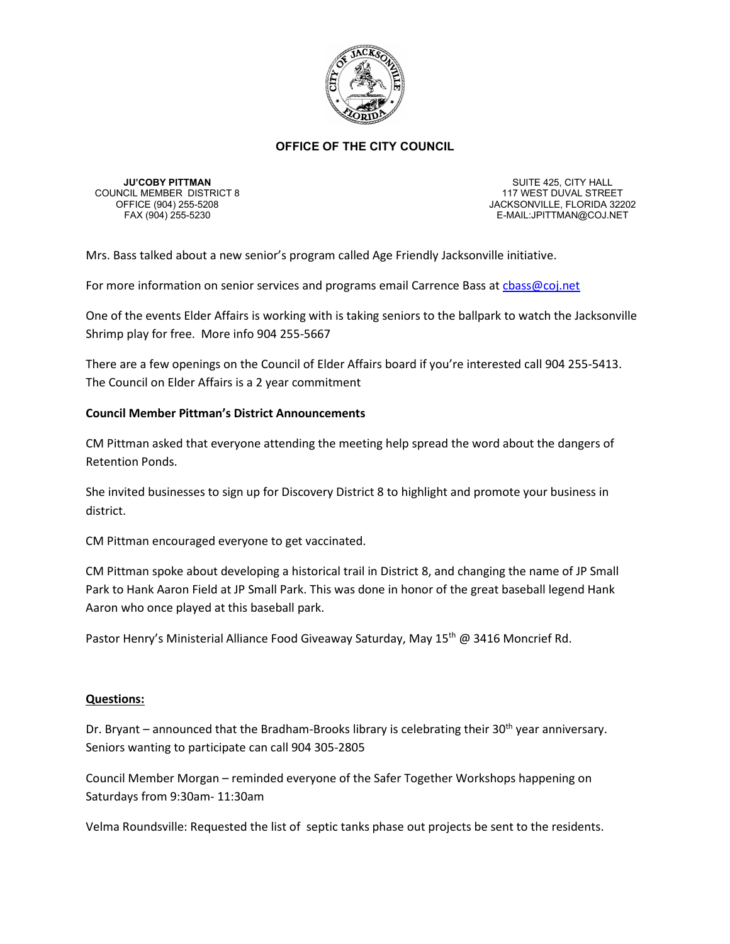

**JU'COBY PITTMAN** COUNCIL MEMBER DISTRICT 8

SUITE 425, CITY HALL 117 WEST DUVAL STREET OFFICE (904) 255-5208 JACKSONVILLE, FLORIDA 32202 E-MAIL:JPITTMAN@COJ.NET

Mrs. Bass talked about a new senior's program called Age Friendly Jacksonville initiative.

For more information on senior services and programs email Carrence Bass at chass@coj.net

One of the events Elder Affairs is working with is taking seniors to the ballpark to watch the Jacksonville Shrimp play for free. More info 904 255-5667

There are a few openings on the Council of Elder Affairs board if you're interested call 904 255-5413. The Council on Elder Affairs is a 2 year commitment

# **Council Member Pittman's District Announcements**

CM Pittman asked that everyone attending the meeting help spread the word about the dangers of Retention Ponds.

She invited businesses to sign up for Discovery District 8 to highlight and promote your business in district.

CM Pittman encouraged everyone to get vaccinated.

CM Pittman spoke about developing a historical trail in District 8, and changing the name of JP Small Park to Hank Aaron Field at JP Small Park. This was done in honor of the great baseball legend Hank Aaron who once played at this baseball park.

Pastor Henry's Ministerial Alliance Food Giveaway Saturday, May 15<sup>th</sup> @ 3416 Moncrief Rd.

# **Questions:**

Dr. Bryant – announced that the Bradham-Brooks library is celebrating their  $30<sup>th</sup>$  year anniversary. Seniors wanting to participate can call 904 305-2805

Council Member Morgan – reminded everyone of the Safer Together Workshops happening on Saturdays from 9:30am- 11:30am

Velma Roundsville: Requested the list of septic tanks phase out projects be sent to the residents.